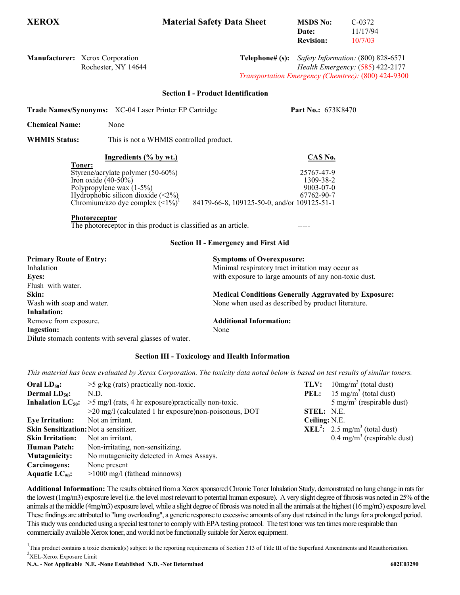| <b>XEROX</b>                                                                                                                                                                                                                              |                                                                                                                                                                  | <b>Material Safety Data Sheet</b>      | <b>MSDS No:</b><br>Date:<br><b>Revision:</b>                                                                                                   | $C-0372$<br>11/17/94<br>10/7/03                                                                      |  |  |
|-------------------------------------------------------------------------------------------------------------------------------------------------------------------------------------------------------------------------------------------|------------------------------------------------------------------------------------------------------------------------------------------------------------------|----------------------------------------|------------------------------------------------------------------------------------------------------------------------------------------------|------------------------------------------------------------------------------------------------------|--|--|
| Manufacturer: Xerox Corporation                                                                                                                                                                                                           | Rochester, NY 14644                                                                                                                                              | Telephone# (s):                        |                                                                                                                                                | Safety Information: (800) 828-6571<br>Health Emergency: (585) 422-2177                               |  |  |
|                                                                                                                                                                                                                                           |                                                                                                                                                                  |                                        |                                                                                                                                                | Transportation Emergency (Chemtrec): (800) 424-9300                                                  |  |  |
| <b>Section I - Product Identification</b>                                                                                                                                                                                                 |                                                                                                                                                                  |                                        |                                                                                                                                                |                                                                                                      |  |  |
|                                                                                                                                                                                                                                           | Trade Names/Synonyms: XC-04 Laser Printer EP Cartridge                                                                                                           |                                        | Part No.: 673K8470                                                                                                                             |                                                                                                      |  |  |
| <b>Chemical Name:</b>                                                                                                                                                                                                                     | None                                                                                                                                                             |                                        |                                                                                                                                                |                                                                                                      |  |  |
| <b>WHMIS Status:</b><br>This is not a WHMIS controlled product.                                                                                                                                                                           |                                                                                                                                                                  |                                        |                                                                                                                                                |                                                                                                      |  |  |
|                                                                                                                                                                                                                                           | Ingredients (% by wt.)                                                                                                                                           |                                        | <b>CAS No.</b>                                                                                                                                 |                                                                                                      |  |  |
| Toner:<br>Styrene/acrylate polymer (50-60%)<br>Iron oxide $(40-50\%)$<br>Polypropylene wax $(1-5%)$<br>Hydrophobic silicon dioxide $(\leq 2\%)$<br>Chromium/azo dye complex $(\leq 1\%)^1$<br>84179-66-8, 109125-50-0, and/or 109125-51-1 |                                                                                                                                                                  |                                        | 25767-47-9<br>1309-38-2<br>9003-07-0<br>67762-90-7                                                                                             |                                                                                                      |  |  |
| Photoreceptor<br>The photoreceptor in this product is classified as an article.                                                                                                                                                           |                                                                                                                                                                  |                                        |                                                                                                                                                |                                                                                                      |  |  |
| <b>Section II - Emergency and First Aid</b>                                                                                                                                                                                               |                                                                                                                                                                  |                                        |                                                                                                                                                |                                                                                                      |  |  |
| <b>Primary Route of Entry:</b><br>Inhalation<br><b>Eyes:</b><br>Flush with water.<br>Skin:<br>Wash with soap and water.<br><b>Inhalation:</b>                                                                                             |                                                                                                                                                                  |                                        | <b>Symptoms of Overexposure:</b><br>Minimal respiratory tract irritation may occur as<br>with exposure to large amounts of any non-toxic dust. |                                                                                                      |  |  |
|                                                                                                                                                                                                                                           |                                                                                                                                                                  |                                        | <b>Medical Conditions Generally Aggravated by Exposure:</b><br>None when used as described by product literature.                              |                                                                                                      |  |  |
| Remove from exposure.<br><b>Ingestion:</b><br>Dilute stomach contents with several glasses of water.                                                                                                                                      |                                                                                                                                                                  | <b>Additional Information:</b><br>None |                                                                                                                                                |                                                                                                      |  |  |
| <b>Section III - Toxicology and Health Information</b>                                                                                                                                                                                    |                                                                                                                                                                  |                                        |                                                                                                                                                |                                                                                                      |  |  |
| This material has been evaluated by Xerox Corporation. The toxicity data noted below is based on test results of similar toners.                                                                                                          |                                                                                                                                                                  |                                        |                                                                                                                                                |                                                                                                      |  |  |
| Oral $LD_{50}$ :<br>Dermal $LD_{50}$ :<br>Inhalation $LC_{50}$ :                                                                                                                                                                          | $>5$ g/kg (rats) practically non-toxic.<br>N.D.<br>>5 mg/l (rats, 4 hr exposure) practically non-toxic.<br>>20 mg/l (calculated 1 hr exposure)non-poisonous, DOT |                                        | TLV:<br>PEL:<br>STEL: N.E.                                                                                                                     | $10mg/m3$ (total dust)<br>15 mg/m <sup>3</sup> (total dust)<br>5 mg/m <sup>3</sup> (respirable dust) |  |  |
| <b>Eve Irritation:</b>                                                                                                                                                                                                                    | Not an irritant.                                                                                                                                                 |                                        | Ceiling: N.E.                                                                                                                                  |                                                                                                      |  |  |

| Oral $LD_{50}$ :                      | $>$ 5 g/kg (rats) practically non-toxic.                  | TLV:              | $10$ mg/m <sup>3</sup> (total dust)                        |
|---------------------------------------|-----------------------------------------------------------|-------------------|------------------------------------------------------------|
| <b>Dermal LD</b> <sub>50</sub> :      | N.D.                                                      | PEL:              | $15 \text{ mg/m}^3$ (total dust)                           |
| Inhalation $LC_{50}$ :                | $>$ 5 mg/l (rats, 4 hr exposure) practically non-toxic.   |                   | 5 mg/m <sup>3</sup> (respirable dust)                      |
|                                       | $>$ 20 mg/l (calculated 1 hr exposure) non-poisonous, DOT | <b>STEL:</b> N.E. |                                                            |
| <b>Eye Irritation:</b>                | Not an irritant.                                          | Ceiling: N.E.     |                                                            |
| Skin Sensitization: Not a sensitizer. |                                                           |                   | <b>XEL<sup>2</sup>:</b> 2.5 mg/m <sup>3</sup> (total dust) |
| <b>Skin Irritation:</b>               | Not an irritant.                                          |                   | $0.4$ mg/m <sup>3</sup> (respirable dust)                  |
| <b>Human Patch:</b>                   | Non-irritating, non-sensitizing.                          |                   |                                                            |
| Mutagenicity:                         | No mutagenicity detected in Ames Assays.                  |                   |                                                            |
| Carcinogens:                          | None present                                              |                   |                                                            |
| Aquatic $LC_{50}$ :                   | $>1000$ mg/l (fathead minnows)                            |                   |                                                            |

**Additional Information:** The results obtained from a Xerox sponsored Chronic Toner Inhalation Study, demonstrated no lung change in rats for the lowest (1mg/m3) exposure level (i.e. the level most relevant to potential human exposure). A very slight degree of fibrosis was noted in 25% of the animals at the middle (4mg/m3) exposure level, while a slight degree of fibrosis was noted in all the animals at the highest (16 mg/m3) exposure level. These findings are attributed to "lung overloading", a generic response to excessive amounts of any dust retained in the lungs for a prolonged period. This study was conducted using a special test toner to comply with EPA testing protocol. The test toner was ten times more respirable than commercially available Xerox toner, and would not be functionally suitable for Xerox equipment.

<sup>1</sup>This product contains a toxic chemical(s) subject to the reporting requirements of Section 313 of Title III of the Superfund Amendments and Reauthorization.  ${}^{2}$ XEL-Xerox Exposure Limit

**N.A. - Not Applicable N.E. -None Established N.D. -Not Determined 602E03290**